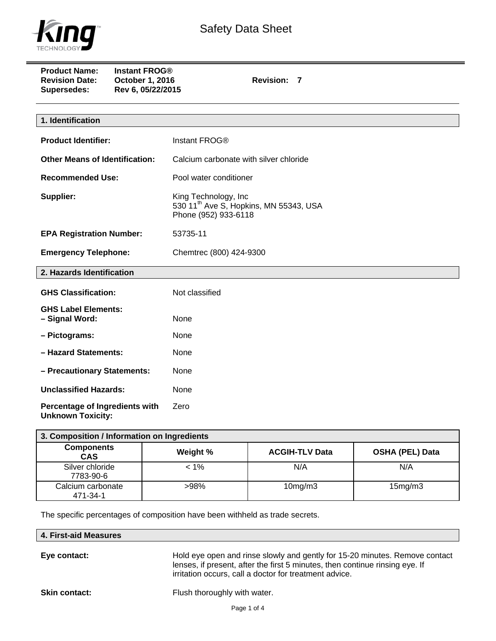

| <b>Product Name:</b><br><b>Revision Date:</b><br><b>Supersedes:</b> | <b>Instant FROG®</b><br>October 1, 2016<br>Rev 6, 05/22/2015 | Revision: 7                                                                                        |
|---------------------------------------------------------------------|--------------------------------------------------------------|----------------------------------------------------------------------------------------------------|
|                                                                     |                                                              |                                                                                                    |
| 1. Identification                                                   |                                                              |                                                                                                    |
| <b>Product Identifier:</b>                                          |                                                              | Instant FROG®                                                                                      |
| <b>Other Means of Identification:</b>                               |                                                              | Calcium carbonate with silver chloride                                                             |
| <b>Recommended Use:</b>                                             |                                                              | Pool water conditioner                                                                             |
| Supplier:                                                           |                                                              | King Technology, Inc<br>530 11 <sup>th</sup> Ave S, Hopkins, MN 55343, USA<br>Phone (952) 933-6118 |
| <b>EPA Registration Number:</b>                                     |                                                              | 53735-11                                                                                           |
| <b>Emergency Telephone:</b>                                         |                                                              | Chemtrec (800) 424-9300                                                                            |
| 2. Hazards Identification                                           |                                                              |                                                                                                    |
| <b>GHS Classification:</b>                                          |                                                              | Not classified                                                                                     |
| <b>GHS Label Elements:</b><br>- Signal Word:                        |                                                              | None                                                                                               |
| - Pictograms:                                                       |                                                              | None                                                                                               |
| - Hazard Statements:                                                |                                                              | None                                                                                               |
| - Precautionary Statements:                                         |                                                              | None                                                                                               |
| <b>Unclassified Hazards:</b>                                        |                                                              | None                                                                                               |
| Percentage of Ingredients with                                      |                                                              | Zero                                                                                               |

**Percentage of Ingredients with Unknown Toxicity:** 

| 3. Composition / Information on Ingredients |          |                       |                        |
|---------------------------------------------|----------|-----------------------|------------------------|
| <b>Components</b><br><b>CAS</b>             | Weight % | <b>ACGIH-TLV Data</b> | <b>OSHA (PEL) Data</b> |
| Silver chloride<br>7783-90-6                | < 1%     | N/A                   | N/A                    |
| Calcium carbonate<br>471-34-1               | $>98\%$  | 10mg/m3               | 15mg/m3                |

The specific percentages of composition have been withheld as trade secrets.

| 4. First-aid Measures |
|-----------------------|
|                       |

**Eye contact:** Hold eye open and rinse slowly and gently for 15-20 minutes. Remove contact lenses, if present, after the first 5 minutes, then continue rinsing eye. If irritation occurs, call a doctor for treatment advice.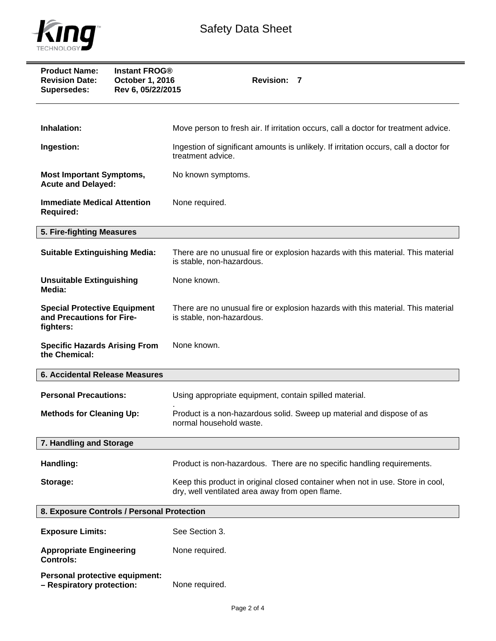

| <b>Product Name:</b><br><b>Revision Date:</b><br>Supersedes:                  | <b>Instant FROG®</b><br>October 1, 2016<br>Rev 6, 05/22/2015 | <b>Revision: 7</b>                                                                                                                |
|-------------------------------------------------------------------------------|--------------------------------------------------------------|-----------------------------------------------------------------------------------------------------------------------------------|
| Inhalation:                                                                   |                                                              | Move person to fresh air. If irritation occurs, call a doctor for treatment advice.                                               |
|                                                                               |                                                              |                                                                                                                                   |
| Ingestion:                                                                    |                                                              | Ingestion of significant amounts is unlikely. If irritation occurs, call a doctor for<br>treatment advice.                        |
| <b>Most Important Symptoms,</b><br><b>Acute and Delayed:</b>                  |                                                              | No known symptoms.                                                                                                                |
| <b>Immediate Medical Attention</b><br><b>Required:</b>                        |                                                              | None required.                                                                                                                    |
| 5. Fire-fighting Measures                                                     |                                                              |                                                                                                                                   |
| <b>Suitable Extinguishing Media:</b>                                          |                                                              | There are no unusual fire or explosion hazards with this material. This material<br>is stable, non-hazardous.                     |
| <b>Unsuitable Extinguishing</b><br>Media:                                     |                                                              | None known.                                                                                                                       |
| <b>Special Protective Equipment</b><br>and Precautions for Fire-<br>fighters: |                                                              | There are no unusual fire or explosion hazards with this material. This material<br>is stable, non-hazardous.                     |
| <b>Specific Hazards Arising From</b><br>the Chemical:                         |                                                              | None known.                                                                                                                       |
| <b>6. Accidental Release Measures</b>                                         |                                                              |                                                                                                                                   |
| <b>Personal Precautions:</b>                                                  |                                                              | Using appropriate equipment, contain spilled material.                                                                            |
| <b>Methods for Cleaning Up:</b>                                               |                                                              | Product is a non-hazardous solid. Sweep up material and dispose of as<br>normal household waste.                                  |
| 7. Handling and Storage                                                       |                                                              |                                                                                                                                   |
| Handling:                                                                     |                                                              | Product is non-hazardous. There are no specific handling requirements.                                                            |
| Storage:                                                                      |                                                              | Keep this product in original closed container when not in use. Store in cool,<br>dry, well ventilated area away from open flame. |
| 8. Exposure Controls / Personal Protection                                    |                                                              |                                                                                                                                   |
| <b>Exposure Limits:</b>                                                       |                                                              | See Section 3.                                                                                                                    |
| <b>Appropriate Engineering</b><br><b>Controls:</b>                            |                                                              | None required.                                                                                                                    |
| <b>Personal protective equipment:</b>                                         |                                                              |                                                                                                                                   |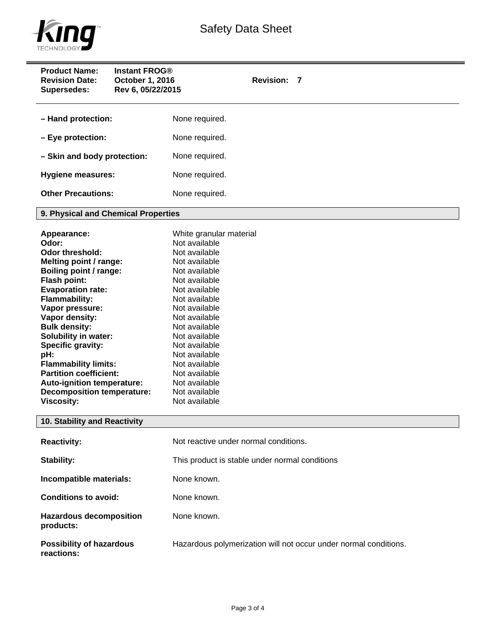

| <b>Product Name:</b><br><b>Revision Date:</b><br><b>Supersedes:</b>                                                                                                                                                                                                                                                                                                                                                                             | <b>Instant FROG®</b><br>October 1, 2016<br>Rev 6, 05/22/2015 | <b>Revision: 7</b>                                                                                                                                                                                                                                                                                                                        |
|-------------------------------------------------------------------------------------------------------------------------------------------------------------------------------------------------------------------------------------------------------------------------------------------------------------------------------------------------------------------------------------------------------------------------------------------------|--------------------------------------------------------------|-------------------------------------------------------------------------------------------------------------------------------------------------------------------------------------------------------------------------------------------------------------------------------------------------------------------------------------------|
| - Hand protection:                                                                                                                                                                                                                                                                                                                                                                                                                              |                                                              | None required.                                                                                                                                                                                                                                                                                                                            |
| - Eye protection:                                                                                                                                                                                                                                                                                                                                                                                                                               |                                                              | None required.                                                                                                                                                                                                                                                                                                                            |
| - Skin and body protection:                                                                                                                                                                                                                                                                                                                                                                                                                     |                                                              | None required.                                                                                                                                                                                                                                                                                                                            |
| <b>Hygiene measures:</b>                                                                                                                                                                                                                                                                                                                                                                                                                        |                                                              | None required.                                                                                                                                                                                                                                                                                                                            |
| <b>Other Precautions:</b>                                                                                                                                                                                                                                                                                                                                                                                                                       |                                                              | None required.                                                                                                                                                                                                                                                                                                                            |
| 9. Physical and Chemical Properties                                                                                                                                                                                                                                                                                                                                                                                                             |                                                              |                                                                                                                                                                                                                                                                                                                                           |
| Appearance:<br>Odor:<br><b>Odor threshold:</b><br>Melting point / range:<br>Boiling point / range:<br>Flash point:<br><b>Evaporation rate:</b><br><b>Flammability:</b><br>Vapor pressure:<br>Vapor density:<br><b>Bulk density:</b><br>Solubility in water:<br>Specific gravity:<br>pH:<br><b>Flammability limits:</b><br><b>Partition coefficient:</b><br>Auto-ignition temperature:<br><b>Decomposition temperature:</b><br><b>Viscosity:</b> |                                                              | White granular material<br>Not available<br>Not available<br>Not available<br>Not available<br>Not available<br>Not available<br>Not available<br>Not available<br>Not available<br>Not available<br>Not available<br>Not available<br>Not available<br>Not available<br>Not available<br>Not available<br>Not available<br>Not available |
| 10. Stability and Reactivity                                                                                                                                                                                                                                                                                                                                                                                                                    |                                                              |                                                                                                                                                                                                                                                                                                                                           |
| <b>Reactivity:</b>                                                                                                                                                                                                                                                                                                                                                                                                                              |                                                              | Not reactive under normal conditions.                                                                                                                                                                                                                                                                                                     |
| Stability:                                                                                                                                                                                                                                                                                                                                                                                                                                      |                                                              | This product is stable under normal conditions                                                                                                                                                                                                                                                                                            |
| Incompatible materials:                                                                                                                                                                                                                                                                                                                                                                                                                         |                                                              | None known.                                                                                                                                                                                                                                                                                                                               |
| <b>Conditions to avoid:</b>                                                                                                                                                                                                                                                                                                                                                                                                                     |                                                              | None known.                                                                                                                                                                                                                                                                                                                               |
| <b>Hazardous decomposition</b><br>products:                                                                                                                                                                                                                                                                                                                                                                                                     |                                                              | None known.                                                                                                                                                                                                                                                                                                                               |
| <b>Possibility of hazardous</b><br>reactions:                                                                                                                                                                                                                                                                                                                                                                                                   |                                                              | Hazardous polymerization will not occur under normal conditions.                                                                                                                                                                                                                                                                          |